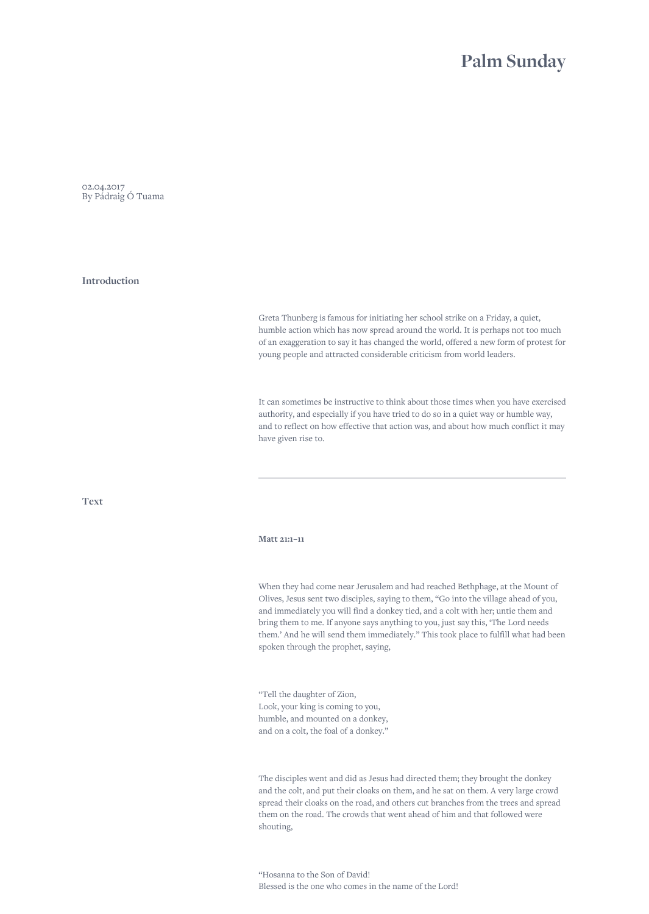# **Palm Sunday**

02.04.2017 By Pádraig Ó Tuama

## **Introduction**

Greta Thunberg is famous for initiating her school strike on a Friday, a quiet, humble action which has now spread around the world. It is perhaps not too much of an exaggeration to say it has changed the world, offered a new form of protest for young people and attracted considerable criticism from world leaders.

It can sometimes be instructive to think about those times when you have exercised authority, and especially if you have tried to do so in a quiet way or humble way, and to reflect on how effective that action was, and about how much conflict it may have given rise to.

**Text**

#### **Matt 21:1–11**

When they had come near Jerusalem and had reached Bethphage, at the Mount of Olives, Jesus sent two disciples, saying to them, "Go into the village ahead of you, and immediately you will find a donkey tied, and a colt with her; untie them and bring them to me. If anyone says anything to you, just say this, 'The Lord needs them.' And he will send them immediately." This took place to fulfill what had been spoken through the prophet, saying,

"Tell the daughter of Zion, Look, your king is coming to you, humble, and mounted on a donkey, and on a colt, the foal of a donkey."

The disciples went and did as Jesus had directed them; they brought the donkey and the colt, and put their cloaks on them, and he sat on them. A very large crowd spread their cloaks on the road, and others cut branches from the trees and spread them on the road. The crowds that went ahead of him and that followed were shouting,

"Hosanna to the Son of David! Blessed is the one who comes in the name of the Lord!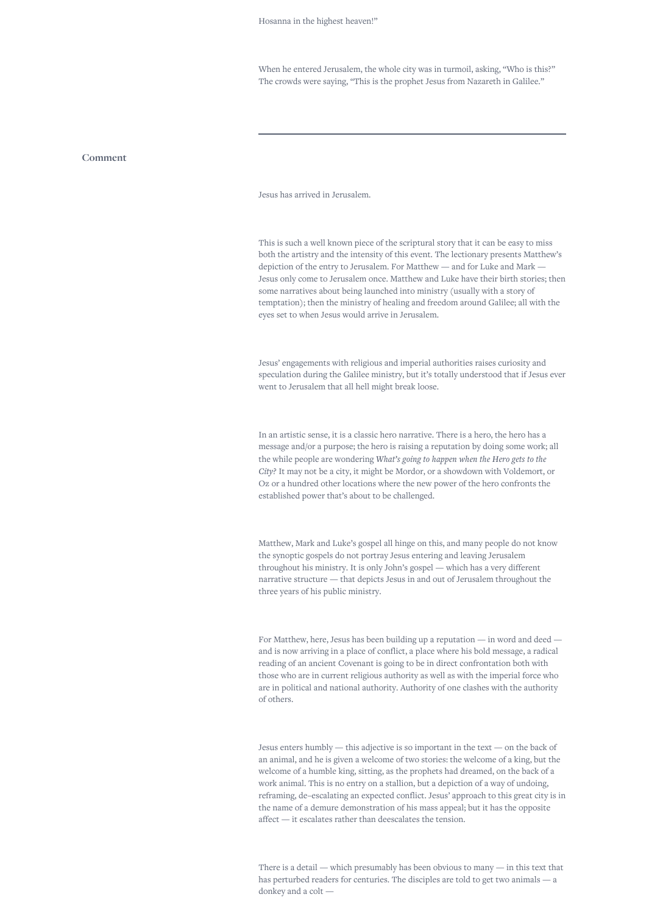When he entered Jerusalem, the whole city was in turmoil, asking, "Who is this?" The crowds were saying, "This is the prophet Jesus from Nazareth in Galilee."

#### **Comment**

Jesus has arrived in Jerusalem.

This is such a well known piece of the scriptural story that it can be easy to miss both the artistry and the intensity of this event. The lectionary presents Matthew's depiction of the entry to Jerusalem. For Matthew — and for Luke and Mark — Jesus only come to Jerusalem once. Matthew and Luke have their birth stories; then some narratives about being launched into ministry (usually with a story of temptation); then the ministry of healing and freedom around Galilee; all with the eyes set to when Jesus would arrive in Jerusalem.

Jesus' engagements with religious and imperial authorities raises curiosity and speculation during the Galilee ministry, but it's totally understood that if Jesus ever went to Jerusalem that all hell might break loose.

In an artistic sense, it is a classic hero narrative. There is a hero, the hero has a message and/or a purpose; the hero is raising a reputation by doing some work; all the while people are wondering *What's going to happen when the Hero gets to the City?* It may not be a city, it might be Mordor, or a showdown with Voldemort, or Oz or a hundred other locations where the new power of the hero confronts the established power that's about to be challenged.

Matthew, Mark and Luke's gospel all hinge on this, and many people do not know the synoptic gospels do not portray Jesus entering and leaving Jerusalem throughout his ministry. It is only John's gospel — which has a very different narrative structure — that depicts Jesus in and out of Jerusalem throughout the three years of his public ministry.

For Matthew, here, Jesus has been building up a reputation — in word and deed and is now arriving in a place of conflict, a place where his bold message, a radical reading of an ancient Covenant is going to be in direct confrontation both with those who are in current religious authority as well as with the imperial force who are in political and national authority. Authority of one clashes with the authority of others.

Jesus enters humbly — this adjective is so important in the text — on the back of an animal, and he is given a welcome of two stories: the welcome of a king, but the welcome of a humble king, sitting, as the prophets had dreamed, on the back of a work animal. This is no entry on a stallion, but a depiction of a way of undoing, reframing, de–escalating an expected conflict. Jesus' approach to this great city is in the name of a demure demonstration of his mass appeal; but it has the opposite affect — it escalates rather than deescalates the tension.

There is a detail — which presumably has been obvious to many — in this text that has perturbed readers for centuries. The disciples are told to get two animals — a donkey and a colt —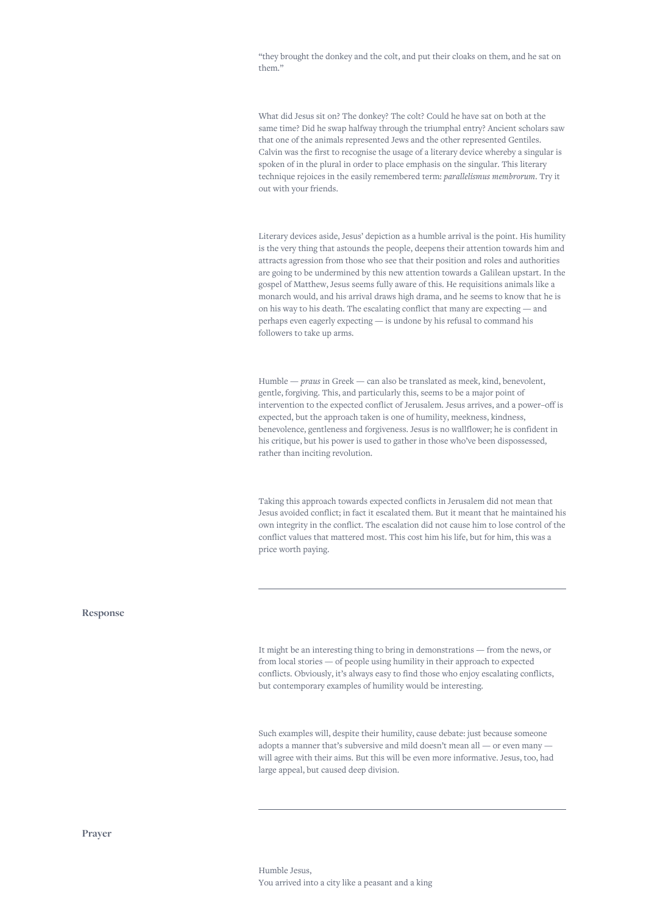"they brought the donkey and the colt, and put their cloaks on them, and he sat on them."

What did Jesus sit on? The donkey? The colt? Could he have sat on both at the same time? Did he swap halfway through the triumphal entry? Ancient scholars saw that one of the animals represented Jews and the other represented Gentiles. Calvin was the first to recognise the usage of a literary device whereby a singular is spoken of in the plural in order to place emphasis on the singular. This literary technique rejoices in the easily remembered term: *parallelismus membrorum*. Try it out with your friends.

Literary devices aside, Jesus' depiction as a humble arrival is the point. His humility is the very thing that astounds the people, deepens their attention towards him and attracts agression from those who see that their position and roles and authorities are going to be undermined by this new attention towards a Galilean upstart. In the gospel of Matthew, Jesus seems fully aware of this. He requisitions animals like a monarch would, and his arrival draws high drama, and he seems to know that he is on his way to his death. The escalating conflict that many are expecting — and perhaps even eagerly expecting — is undone by his refusal to command his followers to take up arms.

Humble — *praus* in Greek — can also be translated as meek, kind, benevolent, gentle, forgiving. This, and particularly this, seems to be a major point of intervention to the expected conflict of Jerusalem. Jesus arrives, and a power–off is expected, but the approach taken is one of humility, meekness, kindness, benevolence, gentleness and forgiveness. Jesus is no wallflower; he is confident in his critique, but his power is used to gather in those who've been dispossessed, rather than inciting revolution.

Taking this approach towards expected conflicts in Jerusalem did not mean that Jesus avoided conflict; in fact it escalated them. But it meant that he maintained his own integrity in the conflict. The escalation did not cause him to lose control of the conflict values that mattered most. This cost him his life, but for him, this was a price worth paying.

### **Response**

It might be an interesting thing to bring in demonstrations — from the news, or from local stories — of people using humility in their approach to expected conflicts. Obviously, it's always easy to find those who enjoy escalating conflicts, but contemporary examples of humility would be interesting.

Such examples will, despite their humility, cause debate: just because someone adopts a manner that's subversive and mild doesn't mean all — or even many will agree with their aims. But this will be even more informative. Jesus, too, had large appeal, but caused deep division.

**Prayer**